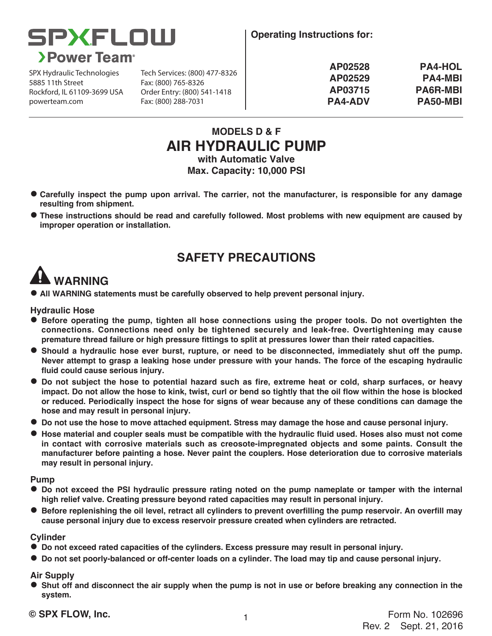

**Operating Instructions for:**

SPX Hydraulic Technologies 5885 11th Street Rockford, IL 61109-3699 USA powerteam.com Fax: (800) 288-7031

Tech Services: (800) 477-8326 Fax: (800) 765-8326 Order Entry: (800) 541-1418

| <b>PA4-HOL</b>  |
|-----------------|
| <b>PA4-MBI</b>  |
| <b>PA6R-MBI</b> |
| PA50-MBI        |
|                 |

### **MODELS D & F AIR HYDRAULIC PUMP with Automatic Valve**

**Max. Capacity: 10,000 PSI**

- **Carefully inspect the pump upon arrival. The carrier, not the manufacturer, is responsible for any damage resulting from shipment.**
- **These instructions should be read and carefully followed. Most problems with new equipment are caused by improper operation or installation.**

## **SAFETY PRECAUTIONS**

# **WARNING**

**• All WARNING statements must be carefully observed to help prevent personal injury.** 

#### **Hydraulic Hose**

- **Example 3 Before operating the pump, tighten all hose connections using the proper tools. Do not overtighten the connections. Connections need only be tightened securely and leak-free. Overtightening may cause premature thread failure or high pressure fittings to split at pressures lower than their rated capacities.**
- **•** Should a hydraulic hose ever burst, rupture, or need to be disconnected, immediately shut off the pump. **Never attempt to grasp a leaking hose under pressure with your hands. The force of the escaping hydraulic fluid could cause serious injury.**
- $\bullet$  Do not subject the hose to potential hazard such as fire, extreme heat or cold, sharp surfaces, or heavy **impact. Do not allow the hose to kink, twist, curl or bend so tightly that the oil flow within the hose is blocked or reduced. Periodically inspect the hose for signs of wear because any of these conditions can damage the hose and may result in personal injury.**
- $\bullet$  Do not use the hose to move attached equipment. Stress may damage the hose and cause personal injury.
- **Hose material and coupler seals must be compatible with the hydraulic fluid used. Hoses also must not come in contact with corrosive materials such as creosote-impregnated objects and some paints. Consult the manufacturer before painting a hose. Never paint the couplers. Hose deterioration due to corrosive materials may result in personal injury.**

#### **Pump**

- **•** Do not exceed the PSI hydraulic pressure rating noted on the pump nameplate or tamper with the internal **high relief valve. Creating pressure beyond rated capacities may result in personal injury.**
- **•** Before replenishing the oil level, retract all cylinders to prevent overfilling the pump reservoir. An overfill may **cause personal injury due to excess reservoir pressure created when cylinders are retracted.**

#### **Cylinder**

- $\bullet$  Do not exceed rated capacities of the cylinders. Excess pressure may result in personal injury.
- $\bullet$  Do not set poorly-balanced or off-center loads on a cylinder. The load may tip and cause personal injury.

#### **Air Supply**

**•** Shut off and disconnect the air supply when the pump is not in use or before breaking any connection in the **system.**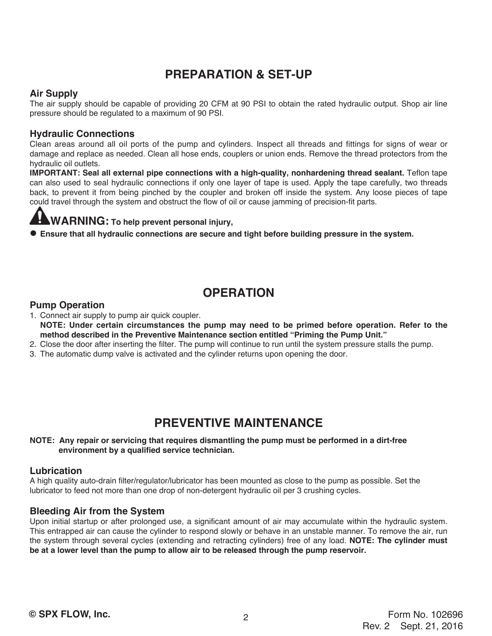### **PREPARATION & SET-UP**

#### **Air Supply**

The air supply should be capable of providing 20 CFM at 90 PSI to obtain the rated hydraulic output. Shop air line pressure should be regulated to a maximum of 90 PSI.

#### **Hydraulic Connections**

Clean areas around all oil ports of the pump and cylinders. Inspect all threads and fittings for signs of wear or damage and replace as needed. Clean all hose ends, couplers or union ends. Remove the thread protectors from the hydraulic oil outlets.

**IMPORTANT: Seal all external pipe connections with a high-quality, nonhardening thread sealant.** Teflon tape can also used to seal hydraulic connections if only one layer of tape is used. Apply the tape carefully, two threads back, to prevent it from being pinched by the coupler and broken off inside the system. Any loose pieces of tape could travel through the system and obstruct the flow of oil or cause jamming of precision-fit parts.

### **WARNING: To help prevent personal injury,**

**Ensure that all hydraulic connections are secure and tight before building pressure in the system.** 

### **OPERATION**

#### **Pump Operation**

1. Connect air supply to pump air quick coupler. **NOTE: Under certain circumstances the pump may need to be primed before operation. Refer to the method described in the Preventive Maintenance section entitled "Priming the Pump Unit."**

- 2. Close the door after inserting the filter. The pump will continue to run until the system pressure stalls the pump.
- 3. The automatic dump valve is activated and the cylinder returns upon opening the door.

### **PREVENTIVE MAINTENANCE**

#### **NOTE: Any repair or servicing that requires dismantling the pump must be performed in a dirt-free environment by a qualified service technician.**

#### **Lubrication**

A high quality auto-drain filter/regulator/lubricator has been mounted as close to the pump as possible. Set the lubricator to feed not more than one drop of non-detergent hydraulic oil per 3 crushing cycles.

#### **Bleeding Air from the System**

Upon initial startup or after prolonged use, a significant amount of air may accumulate within the hydraulic system. This entrapped air can cause the cylinder to respond slowly or behave in an unstable manner. To remove the air, run the system through several cycles (extending and retracting cylinders) free of any load. **NOTE: The cylinder must be at a lower level than the pump to allow air to be released through the pump reservoir.**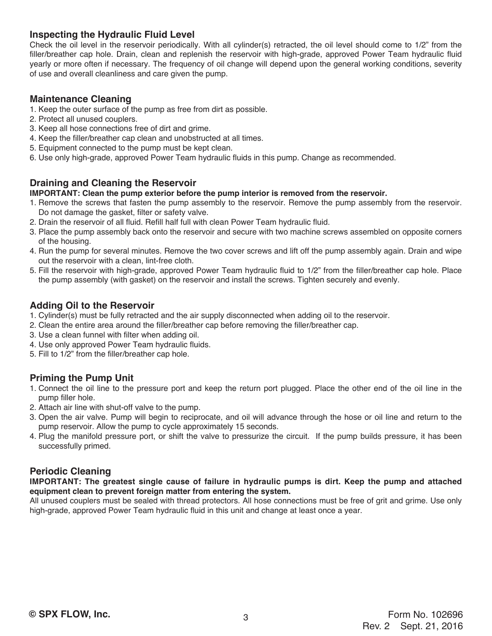#### **Inspecting the Hydraulic Fluid Level**

Check the oil level in the reservoir periodically. With all cylinder(s) retracted, the oil level should come to 1/2" from the filler/breather cap hole. Drain, clean and replenish the reservoir with high-grade, approved Power Team hydraulic fluid yearly or more often if necessary. The frequency of oil change will depend upon the general working conditions, severity of use and overall cleanliness and care given the pump.

#### **Maintenance Cleaning**

- 1. Keep the outer surface of the pump as free from dirt as possible.
- 2. Protect all unused couplers.
- 3. Keep all hose connections free of dirt and grime.
- 4. Keep the filler/breather cap clean and unobstructed at all times.
- 5. Equipment connected to the pump must be kept clean.
- 6. Use only high-grade, approved Power Team hydraulic fluids in this pump. Change as recommended.

#### **Draining and Cleaning the Reservoir**

#### **IMPORTANT: Clean the pump exterior before the pump interior is removed from the reservoir.**

- 1. Remove the screws that fasten the pump assembly to the reservoir. Remove the pump assembly from the reservoir. Do not damage the gasket, filter or safety valve.
- 2. Drain the reservoir of all fluid. Refill half full with clean Power Team hydraulic fluid.
- 3. Place the pump assembly back onto the reservoir and secure with two machine screws assembled on opposite corners of the housing.
- 4. Run the pump for several minutes. Remove the two cover screws and lift off the pump assembly again. Drain and wipe out the reservoir with a clean, lint-free cloth.
- 5. Fill the reservoir with high-grade, approved Power Team hydraulic fluid to 1/2" from the filler/breather cap hole. Place the pump assembly (with gasket) on the reservoir and install the screws. Tighten securely and evenly.

#### **Adding Oil to the Reservoir**

- 1. Cylinder(s) must be fully retracted and the air supply disconnected when adding oil to the reservoir.
- 2. Clean the entire area around the filler/breather cap before removing the filler/breather cap.
- 3. Use a clean funnel with filter when adding oil.
- 4. Use only approved Power Team hydraulic fluids.
- 5. Fill to 1/2" from the filler/breather cap hole.

### **Priming the Pump Unit**

- 1. Connect the oil line to the pressure port and keep the return port plugged. Place the other end of the oil line in the pump filler hole.
- 2. Attach air line with shut-off valve to the pump.
- 3. Open the air valve. Pump will begin to reciprocate, and oil will advance through the hose or oil line and return to the pump reservoir. Allow the pump to cycle approximately 15 seconds.
- 4. Plug the manifold pressure port, or shift the valve to pressurize the circuit. If the pump builds pressure, it has been successfully primed.

#### **Periodic Cleaning**

**IMPORTANT: The greatest single cause of failure in hydraulic pumps is dirt. Keep the pump and attached equipment clean to prevent foreign matter from entering the system.**

All unused couplers must be sealed with thread protectors. All hose connections must be free of grit and grime. Use only high-grade, approved Power Team hydraulic fluid in this unit and change at least once a year.